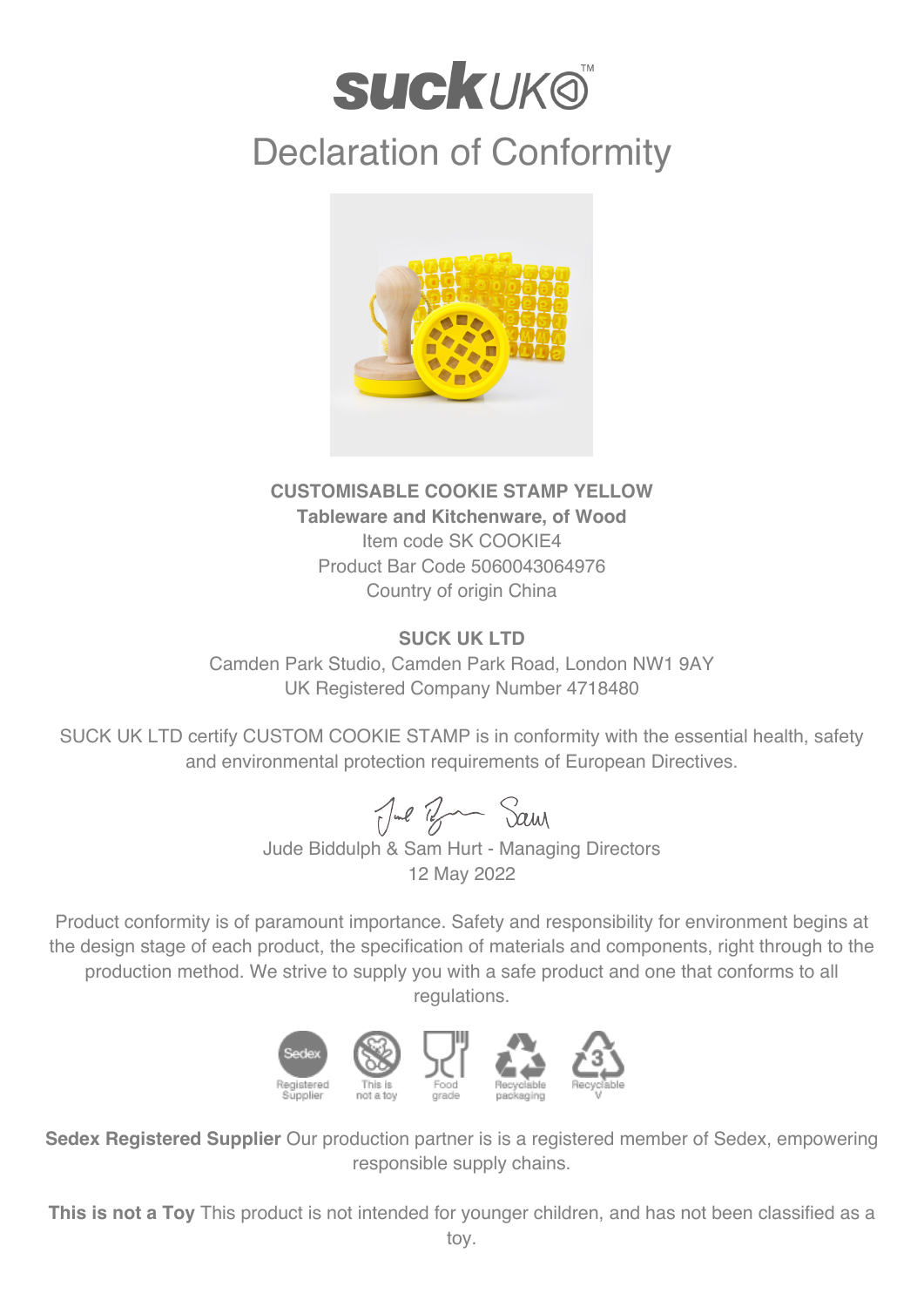## **suckuk®** Declaration of Conformity



## **CUSTOMISABLE COOKIE STAMP YELLOW Tableware and Kitchenware, of Wood** Item code SK COOKIE4 Product Bar Code 5060043064976 Country of origin China

## **SUCK UK LTD**

Camden Park Studio, Camden Park Road, London NW1 9AY UK Registered Company Number 4718480

SUCK UK LTD certify CUSTOM COOKIE STAMP is in conformity with the essential health, safety and environmental protection requirements of European Directives.

Jul Ban Sam

Jude Biddulph & Sam Hurt - Managing Directors 12 May 2022

Product conformity is of paramount importance. Safety and responsibility for environment begins at the design stage of each product, the specification of materials and components, right through to the production method. We strive to supply you with a safe product and one that conforms to all regulations.



**Sedex Registered Supplier** Our production partner is is a registered member of Sedex, empowering responsible supply chains.

**This is not a Toy** This product is not intended for younger children, and has not been classified as a